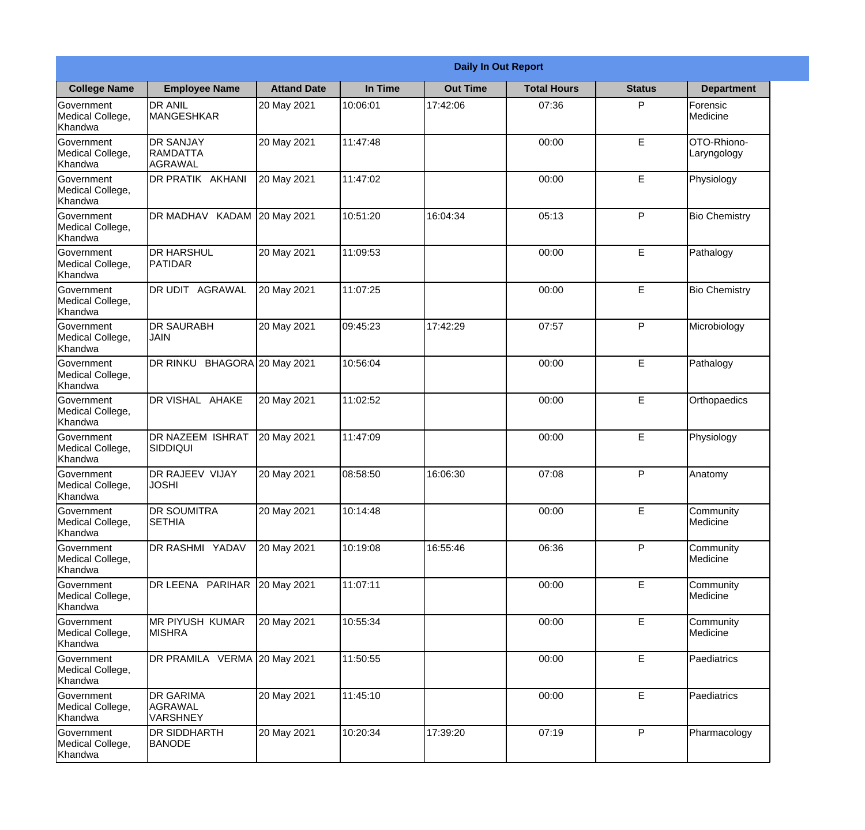| <b>Daily In Out Report</b>                       |                                                |                    |          |                 |                    |               |                            |
|--------------------------------------------------|------------------------------------------------|--------------------|----------|-----------------|--------------------|---------------|----------------------------|
| <b>College Name</b>                              | <b>Employee Name</b>                           | <b>Attand Date</b> | In Time  | <b>Out Time</b> | <b>Total Hours</b> | <b>Status</b> | <b>Department</b>          |
| Government<br>Medical College,<br>Khandwa        | <b>DR ANIL</b><br><b>MANGESHKAR</b>            | 20 May 2021        | 10:06:01 | 17:42:06        | 07:36              | P             | Forensic<br>Medicine       |
| Government<br>Medical College,<br>Khandwa        | <b>DR SANJAY</b><br><b>RAMDATTA</b><br>AGRAWAL | 20 May 2021        | 11:47:48 |                 | 00:00              | $\mathsf E$   | OTO-Rhiono-<br>Laryngology |
| <b>Government</b><br>Medical College,<br>Khandwa | <b>DR PRATIK AKHANI</b>                        | 20 May 2021        | 11:47:02 |                 | 00:00              | E             | Physiology                 |
| <b>Government</b><br>Medical College,<br>Khandwa | <b>DR MADHAV KADAM</b>                         | 20 May 2021        | 10:51:20 | 16:04:34        | 05:13              | P             | <b>Bio Chemistry</b>       |
| Government<br>Medical College,<br>Khandwa        | <b>IDR HARSHUL</b><br>PATIDAR                  | 20 May 2021        | 11:09:53 |                 | 00:00              | E             | Pathalogy                  |
| Government<br>Medical College,<br>Khandwa        | DR UDIT AGRAWAL                                | 20 May 2021        | 11:07:25 |                 | 00:00              | $\mathsf E$   | <b>Bio Chemistry</b>       |
| <b>Government</b><br>Medical College,<br>Khandwa | <b>DR SAURABH</b><br><b>JAIN</b>               | 20 May 2021        | 09:45:23 | 17:42:29        | 07:57              | P             | Microbiology               |
| <b>Government</b><br>Medical College,<br>Khandwa | DR RINKU BHAGORA 20 May 2021                   |                    | 10:56:04 |                 | 00:00              | E             | Pathalogy                  |
| Government<br>Medical College,<br>Khandwa        | DR VISHAL AHAKE                                | 20 May 2021        | 11:02:52 |                 | 00:00              | E             | Orthopaedics               |
| Government<br>Medical College,<br>Khandwa        | DR NAZEEM ISHRAT<br>SIDDIQUI                   | 20 May 2021        | 11:47:09 |                 | 00:00              | $\mathsf E$   | Physiology                 |
| Government<br>Medical College,<br>Khandwa        | <b>DR RAJEEV VIJAY</b><br><b>JOSHI</b>         | 20 May 2021        | 08:58:50 | 16:06:30        | 07:08              | P             | Anatomy                    |
| Government<br>Medical College,<br>Khandwa        | <b>DR SOUMITRA</b><br><b>SETHIA</b>            | 20 May 2021        | 10:14:48 |                 | 00:00              | E             | Community<br>Medicine      |
| Government<br>Medical College,<br>Khandwa        | DR RASHMI YADAV                                | 20 May 2021        | 10:19:08 | 16:55:46        | 06:36              | P             | Community<br>Medicine      |
| Government<br>Medical College,<br>Khandwa        | DR LEENA PARIHAR                               | 20 May 2021        | 11:07:11 |                 | 00:00              | $\mathsf E$   | Community<br>Medicine      |
| Government<br>Medical College,<br>Khandwa        | <b>MR PIYUSH KUMAR</b><br><b>MISHRA</b>        | 20 May 2021        | 10:55:34 |                 | 00:00              | E             | Community<br>Medicine      |
| Government<br>Medical College,<br>Khandwa        | DR PRAMILA VERMA 20 May 2021                   |                    | 11:50:55 |                 | 00:00              | E             | Paediatrics                |
| Government<br>Medical College,<br>Khandwa        | <b>DR GARIMA</b><br>AGRAWAL<br><b>VARSHNEY</b> | 20 May 2021        | 11:45:10 |                 | 00:00              | E             | Paediatrics                |
| Government<br>Medical College,<br>Khandwa        | <b>DR SIDDHARTH</b><br><b>BANODE</b>           | 20 May 2021        | 10:20:34 | 17:39:20        | 07:19              | P             | Pharmacology               |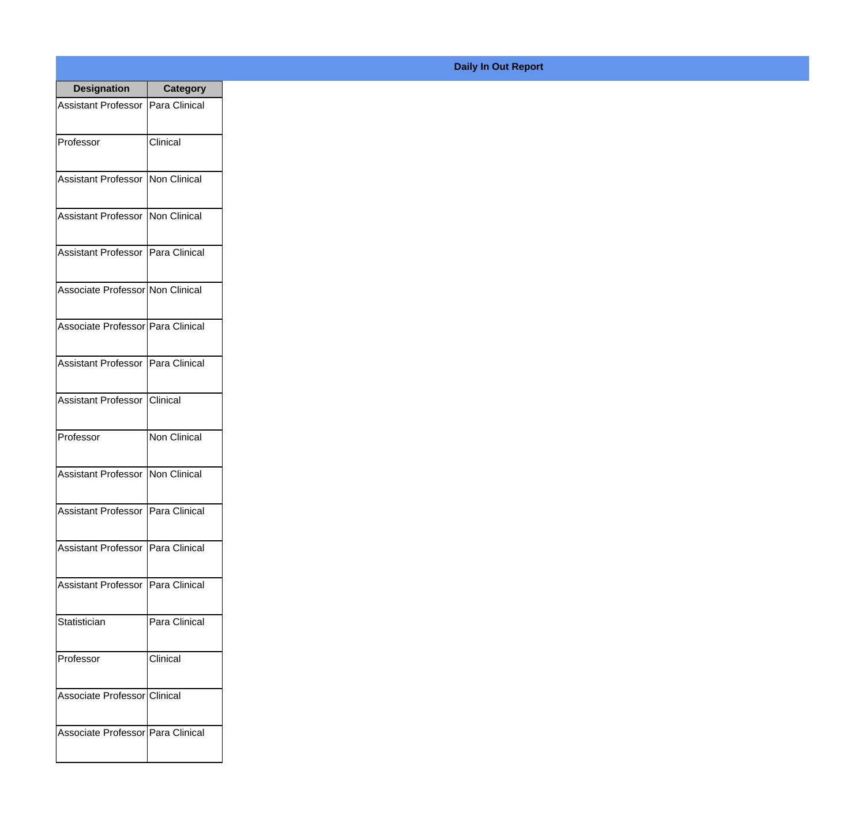| <b>Designation</b>                  | <b>Category</b>     |
|-------------------------------------|---------------------|
| Assistant Professor   Para Clinical |                     |
| Professor                           | Clinical            |
| <b>Assistant Professor</b>          | Non Clinical        |
| <b>Assistant Professor</b>          | Non Clinical        |
| Assistant Professor   Para Clinical |                     |
| Associate Professor Non Clinical    |                     |
| Associate Professor Para Clinical   |                     |
| Assistant Professor   Para Clinical |                     |
| Assistant Professor                 | Iclinical           |
| Professor                           | <b>Non Clinical</b> |
| <b>Assistant Professor</b>          | Non Clinical        |
| Assistant Professor   Para Clinical |                     |
| Assistant Professor   Para Clinical |                     |
| <b>Assistant Professor</b>          | Para Clinical       |
| Statistician                        | Para Clinical       |
| Professor                           | Clinical            |
| Associate Professor   Clinical      |                     |
| Associate Professor Para Clinical   |                     |

## **Daily In Out Report**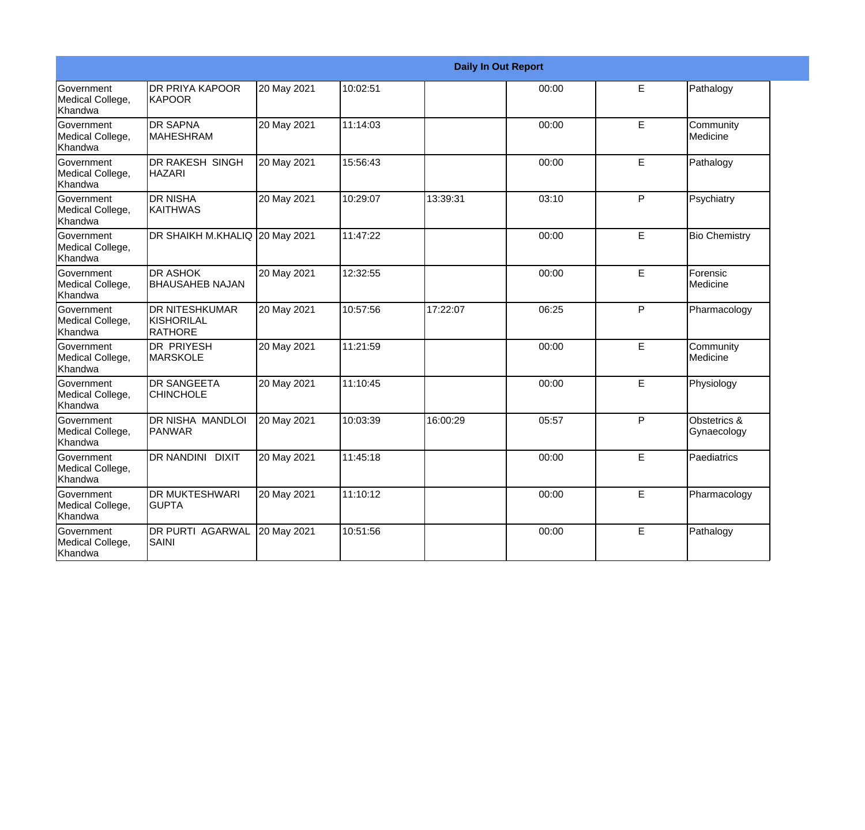| <b>Daily In Out Report</b>                       |                                                 |             |          |          |       |   |                             |
|--------------------------------------------------|-------------------------------------------------|-------------|----------|----------|-------|---|-----------------------------|
| Government<br>Medical College,<br>Khandwa        | IDR PRIYA KAPOOR<br><b>KAPOOR</b>               | 20 May 2021 | 10:02:51 |          | 00:00 | E | Pathalogy                   |
| <b>Government</b><br>Medical College,<br>Khandwa | <b>DR SAPNA</b><br><b>MAHESHRAM</b>             | 20 May 2021 | 11:14:03 |          | 00:00 | E | Community<br>Medicine       |
| <b>Government</b><br>Medical College,<br>Khandwa | <b>DR RAKESH SINGH</b><br>IHAZARI               | 20 May 2021 | 15:56:43 |          | 00:00 | E | Pathalogy                   |
| <b>Government</b><br>Medical College,<br>Khandwa | IDR NISHA<br>KAITHWAS                           | 20 May 2021 | 10:29:07 | 13:39:31 | 03:10 | P | Psychiatry                  |
| <b>Government</b><br>Medical College,<br>Khandwa | DR SHAIKH M.KHALIQ 20 May 2021                  |             | 11:47:22 |          | 00:00 | E | <b>Bio Chemistry</b>        |
| <b>Government</b><br>Medical College,<br>Khandwa | <b>DR ASHOK</b><br><b>BHAUSAHEB NAJAN</b>       | 20 May 2021 | 12:32:55 |          | 00:00 | E | Forensic<br>Medicine        |
| <b>Government</b><br>Medical College,<br>Khandwa | <b>DR NITESHKUMAR</b><br>KISHORILAL<br>IRATHORE | 20 May 2021 | 10:57:56 | 17:22:07 | 06:25 | P | Pharmacology                |
| Government<br>Medical College,<br>Khandwa        | DR PRIYESH<br><b>MARSKOLE</b>                   | 20 May 2021 | 11:21:59 |          | 00:00 | E | Community<br>Medicine       |
| Government<br>Medical College,<br>Khandwa        | <b>DR SANGEETA</b><br><b>CHINCHOLE</b>          | 20 May 2021 | 11:10:45 |          | 00:00 | E | Physiology                  |
| Government<br>Medical College,<br>Khandwa        | DR NISHA MANDLOI<br><b>PANWAR</b>               | 20 May 2021 | 10:03:39 | 16:00:29 | 05:57 | P | Obstetrics &<br>Gynaecology |
| <b>Government</b><br>Medical College,<br>Khandwa | DR NANDINI DIXIT                                | 20 May 2021 | 11:45:18 |          | 00:00 | E | Paediatrics                 |
| Government<br>Medical College,<br>Khandwa        | <b>DR MUKTESHWARI</b><br>IGUPTA                 | 20 May 2021 | 11:10:12 |          | 00:00 | E | Pharmacology                |
| <b>Government</b><br>Medical College,<br>Khandwa | <b>DR PURTI AGARWAL</b><br>SAINI                | 20 May 2021 | 10:51:56 |          | 00:00 | E | Pathalogy                   |